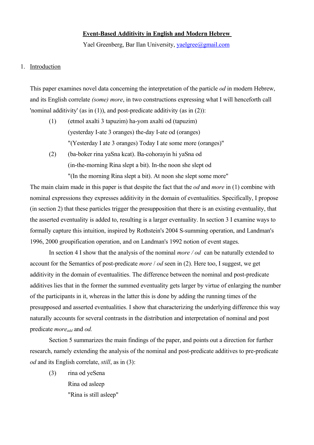#### **Event-Based Additivity in English and Modern Hebrew**

Yael Greenberg, Bar Ilan University, [yaelgree@gmail.com](mailto:yaelgree@gmail.com)

## 1. Introduction

This paper examines novel data concerning the interpretation of the particle *od* in modern Hebrew, and its English correlate *(some) more*, in two constructions expressing what I will henceforth call 'nominal additivity' (as in (1)), and post-predicate additivity (as in (2)):

- (1) (etmol axalti 3 tapuzim) ha-yom axalti od (tapuzim) (yesterday I-ate 3 oranges) the-day I-ate od (oranges) "(Yesterday I ate 3 oranges) Today I ate some more (oranges)"
- (2) (ba-boker rina yaSna kcat). Ba-cohorayin hi yaSna od (in-the-morning Rina slept a bit). In-the noon she slept od "(In the morning Rina slept a bit). At noon she slept some more"

The main claim made in this paper is that despite the fact that the *od* and *more* in (1) combine with nominal expressions they expresses additivity in the domain of eventualities. Specifically, I propose (in section 2) that these particles trigger the presupposition that there is an existing eventuality, that the asserted eventuality is added to, resulting is a larger eventuality. In section 3 I examine ways to formally capture this intuition, inspired by Rothstein's 2004 S-summing operation, and Landman's 1996, 2000 groupification operation, and on Landman's 1992 notion of event stages.

In section 4 I show that the analysis of the nominal *more / od* can be naturally extended to account for the Semantics of post-predicate *more* / *od* seen in (2). Here too, I suggest, we get additivity in the domain of eventualities. The difference between the nominal and post-predicate additives lies that in the former the summed eventuality gets larger by virtue of enlarging the number of the participants in it, whereas in the latter this is done by adding the running times of the presupposed and asserted eventualities. I show that characterizing the underlying difference this way naturally accounts for several contrasts in the distribution and interpretation of nominal and post predicate *moreadd* and *od.*

Section 5 summarizes the main findings of the paper, and points out a direction for further research, namely extending the analysis of the nominal and post-predicate additives to pre-predicate *od* and its English correlate, *still*, as in (3):

(3) rina od yeSena Rina od asleep "Rina is still asleep"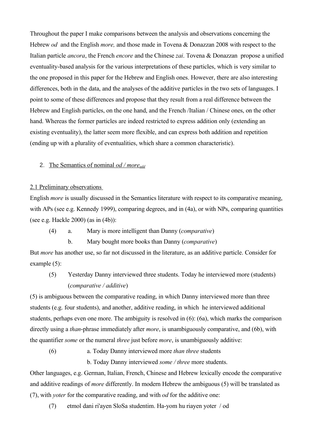Throughout the paper I make comparisons between the analysis and observations concerning the Hebrew *od* and the English *more,* and those made in Tovena & Donazzan 2008 with respect to the Italian particle *ancora*, the French *encore* and the Chinese *zai*. Tovena & Donazzan propose a unified eventuality-based analysis for the various interpretations of these particles, which is very similar to the one proposed in this paper for the Hebrew and English ones. However, there are also interesting differences, both in the data, and the analyses of the additive particles in the two sets of languages. I point to some of these differences and propose that they result from a real difference between the Hebrew and English particles, on the one hand, and the French /Italian / Chinese ones, on the other hand. Whereas the former particles are indeed restricted to express addition only (extending an existing eventuality), the latter seem more flexible, and can express both addition and repetition (ending up with a plurality of eventualities, which share a common characteristic).

# 2. The Semantics of nominal *od / moreadd*

## 2.1 Preliminary observations

English *more* is usually discussed in the Semantics literature with respect to its comparative meaning, with APs (see e.g. Kennedy 1999), comparing degrees, and in (4a), or with NPs, comparing quantities (see e.g. Hackle 2000) (as in (4b)):

- (4) a. Mary is more intelligent than Danny (*comparative*)
	- b. Mary bought more books than Danny (*comparative*)

But *more* has another use, so far not discussed in the literature, as an additive particle. Consider for example (5):

(5) Yesterday Danny interviewed three students. Today he interviewed more (students) (*comparative / additive*)

(5) is ambiguous between the comparative reading, in which Danny interviewed more than three students (e.g. four students), and another, additive reading, in which he interviewed additional students, perhaps even one more. The ambiguity is resolved in (6): (6a), which marks the comparison directly using a *than*-phrase immediately after *more*, is unambiguously comparative, and (6b), with the quantifier *some* or the numeral *three* just before *more*, is unambiguously additive:

(6) a. Today Danny interviewed more *than three* students

b. Today Danny interviewed *some / three* more students.

Other languages, e.g. German, Italian, French, Chinese and Hebrew lexically encode the comparative and additive readings of *more* differently. In modern Hebrew the ambiguous (5) will be translated as (7), with *yoter* for the comparative reading, and with *od* for the additive one:

(7) etmol dani ri'ayen SloSa studentim. Ha-yom hu riayen yoter / od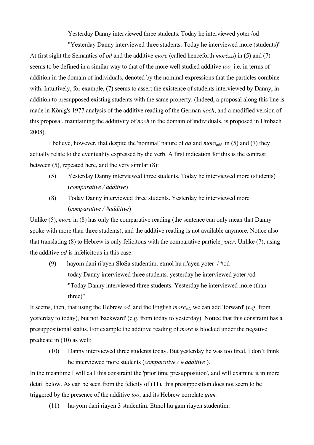Yesterday Danny interviewed three students. Today he interviewed yoter /od

"Yesterday Danny interviewed three students. Today he interviewed more (students)" At first sight the Semantics of *od* and the additive *more* (called henceforth *moreadd*) in (5) and (7) seems to be defined in a similar way to that of the more well studied additive *too,* i.e. in terms of addition in the domain of individuals, denoted by the nominal expressions that the particles combine with. Intuitively, for example, (7) seems to assert the existence of students interviewed by Danny, in addition to presupposed existing students with the same property. (Indeed, a proposal along this line is made in König's 1977 analysis of the additive reading of the German *noch*, and a modified version of this proposal, maintaining the additivity of *noch* in the domain of individuals, is proposed in Umbach 2008).

I believe, however, that despite the 'nominal' nature of *od* and *moreadd* in (5) and (7) they actually relate to the eventuality expressed by the verb. A first indication for this is the contrast between (5), repeated here, and the very similar (8):

- (5) Yesterday Danny interviewed three students. Today he interviewed more (students) (*comparative / additive*)
- (8) Today Danny interviewed three students. Yesterday he interviewed more (*comparative / #additive*)

Unlike (5), *more* in (8) has only the comparative reading (the sentence can only mean that Danny spoke with more than three students), and the additive reading is not available anymore. Notice also that translating (8) to Hebrew is only felicitous with the comparative particle *yoter*. Unlike (7), using the additive *od* is infelicitous in this case:

(9) hayom dani ri'ayen SloSa studentim. etmol hu ri'ayen yoter / #od today Danny interviewed three students. yesterday he interviewed yoter /od "Today Danny interviewed three students. Yesterday he interviewed more (than three)"

It seems, then, that using the Hebrew *od* and the English *moreadd* we can add 'forward' (e.g. from yesterday to today), but not 'backward' (e.g. from today to yesterday). Notice that this constraint has a presuppositional status. For example the additive reading of *more* is blocked under the negative predicate in (10) as well:

(10) Danny interviewed three students today. But yesterday he was too tired. I don't think he interviewed more students (*comparative / # additive* ).

In the meantime I will call this constraint the 'prior time presupposition', and will examine it in more detail below. As can be seen from the felicity of (11), this presupposition does not seem to be triggered by the presence of the additive *too*, and its Hebrew correlate *gam.*

(11) ha-yom dani riayen 3 studentim. Etmol hu gam riayen studentim.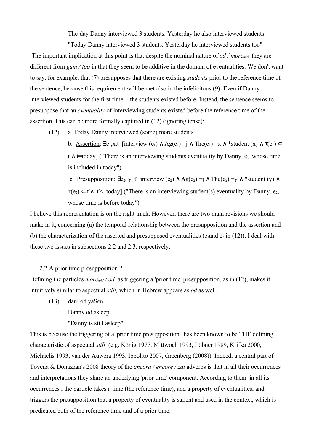The-day Danny interviewed 3 students. Yesterday he also interviewed students

"Today Danny interviewed 3 students. Yesterday he interviewed students too" The important implication at this point is that despite the nominal nature of *od / more*<sub>add</sub> they are different from *gam / too* in that they seem to be additive in the domain of eventualities. We don't want to say, for example, that (7) presupposes that there are existing *students* prior to the reference time of the sentence, because this requirement will be met also in the infelicitous (9): Even if Danny interviewed students for the first time - the students existed before. Instead, the sentence seems to presuppose that an *eventuality* of interviewing students existed before the reference time of the assertion.This can be more formally captured in (12) (ignoring tense):

(12) a. Today Danny interviewed (some) more students

b. Assertion:  $\exists e_1, x, t$  [interview  $(e_1) \wedge Ag(e_1) = j \wedge The(e_1) = x \wedge * student(x) \wedge \tau(e_1) \subset ...$  $t \wedge t$ =today] ("There is an interviewing students eventuality by Danny,  $e_1$ , whose time is included in today")

c. Presupposition:  $\exists e_2, y, t'$  interview  $(e_2) \wedge \text{Ag}(e_2) = j \wedge \text{The}(e_2) = y \wedge *$  student  $(y) \wedge$  $\tau(e_2) \subset t' \wedge t'$  today] ("There is an interviewing student(s) eventuality by Danny,  $e_2$ , whose time is before today")

I believe this representation is on the right track. However, there are two main revisions we should make in it, concerning (a) the temporal relationship between the presupposition and the assertion and (b) the characterization of the asserted and presupposed eventualities (e<sub>1</sub>and e<sub>2</sub> in (12)). I deal with these two issues in subsections 2.2 and 2.3, respectively.

# 2.2 A prior time presupposition ?

Defining the particles *moreadd / od* as triggering a 'prior time' presupposition, as in (12), makes it intuitively similar to aspectual *still,* which in Hebrew appears as *od* as well*:* 

(13) dani od yaSen

Danny od asleep

"Danny is still asleep"

This is because the triggering of a 'prior time presupposition' has been known to be THE defining characteristic of aspectual *still* (e.g. König 1977, Mittwoch 1993, Löbner 1989, Krifka 2000, Michaelis 1993, van der Auwera 1993, Ippolito 2007, Greenberg (2008)). Indeed, a central part of Tovena & Donazzan's 2008 theory of the *ancora / encore / zai* adverbs is that in all their occurrences and interpretations they share an underlying 'prior time' component. According to them in all its occurrences , the particle takes a time (the reference time), and a property of eventualities, and triggers the presupposition that a property of eventuality is salient and used in the context, which is predicated both of the reference time and of a prior time.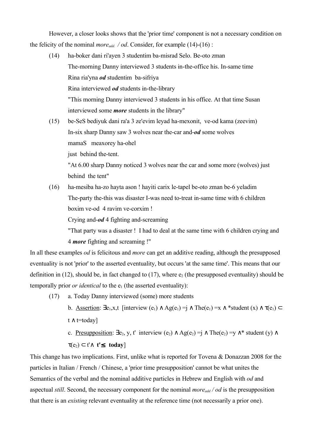However, a closer looks shows that the 'prior time' component is not a necessary condition on the felicity of the nominal *moreadd. / od*. Consider, for example (14)-(16) :

- (14) ha-boker dani ri'ayen 3 studentim ba-misrad Selo. Be-oto zman The-morning Danny interviewed 3 students in-the-office his. In-same time Rina ria'yna *od* studentim ba-sifriya Rina interviewed *od* students in-the-library "This morning Danny interviewed 3 students in his office. At that time Susan interviewed some *more* students in the library"
- (15) be-SeS bediyuk dani ra'a 3 ze'evim leyad ha-mexonit, ve-od kama (zeevim) In-six sharp Danny saw 3 wolves near the-car and-*od* some wolves mamaS meaxorey ha-ohel just behind the-tent.

"At 6.00 sharp Danny noticed 3 wolves near the car and some more (wolves) just behind the tent"

(16) ha-mesiba ha-zo hayta ason ! hayiti carix le-tapel be-oto zman be-6 yeladim The-party the-this was disaster I-was need to-treat in-same time with 6 children boxim ve-od 4 ravim ve-corxim !

Crying and-*od* 4 fighting and-screaming

"That party was a disaster ! I had to deal at the same time with 6 children crying and 4 *more* fighting and screaming !"

In all these examples *od* is felicitous and *more* can get an additive reading, although the presupposed eventuality is not 'prior' to the asserted eventuality, but occurs 'at the same time'. This means that our definition in (12), should be, in fact changed to (17), where  $e_2$  (the presupposed eventuality) should be temporally prior *or identical* to the  $e_1$  (the asserted eventuality):

(17) a. Today Danny interviewed (some) more students

b. Assertion:  $\exists e_1, x, t$  [interview  $(e_1) \wedge \text{Ag}(e_1) = j \wedge \text{The}(e_1) = x \wedge \text{*(under)}(x) \wedge \tau(e_1) \subset$  $t \wedge t = \text{today}$ 

c. Presupposition:  $\exists e_2, y, t'$  interview  $(e_2) \wedge \text{Ag}(e_2) = j \wedge \text{The}(e_2) = y \wedge^*$  student  $(y) \wedge$  $\tau(e_2) \subset t' \wedge t' \leq \text{today}$ 

This change has two implications. First, unlike what is reported for Tovena & Donazzan 2008 for the particles in Italian / French / Chinese, a 'prior time presupposition' cannot be what unites the Semantics of the verbal and the nominal additive particles in Hebrew and English with *od* and aspectual *still*. Second, the necessary component for the nominal *moreadd / od* is the presupposition that there is an *existing* relevant eventuality at the reference time (not necessarily a prior one).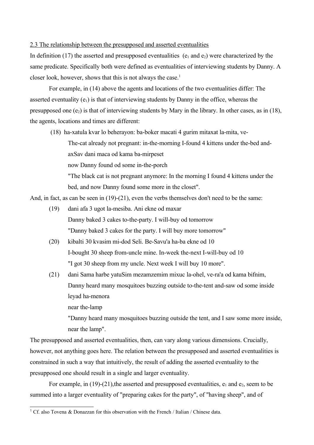### 2.3 The relationship between the presupposed and asserted eventualities

In definition (17) the asserted and presupposed eventualities ( $e_1$  and  $e_2$ ) were characterized by the same predicate. Specifically both were defined as eventualities of interviewing students by Danny. A closer look, however, shows that this is not always the case.<sup>[1](#page-5-0)</sup>

For example, in (14) above the agents and locations of the two eventualities differ: The asserted eventuality  $(e_1)$  is that of interviewing students by Danny in the office, whereas the presupposed one  $(e_2)$  is that of interviewing students by Mary in the library. In other cases, as in (18), the agents, locations and times are different:

(18) ha-xatula kvar lo beherayon: ba-boker macati 4 gurim mitaxat la-mita, ve-

The-cat already not pregnant: in-the-morning I-found 4 kittens under the-bed andaxSav dani maca od kama ba-mirpeset

now Danny found od some in-the-porch

"The black cat is not pregnant anymore: In the morning I found 4 kittens under the bed, and now Danny found some more in the closet".

And, in fact, as can be seen in (19)-(21), even the verbs themselves don't need to be the same:

- (19) dani afa 3 ugot la-mesiba. Ani ekne od maxar Danny baked 3 cakes to-the-party. I will-buy od tomorrow "Danny baked 3 cakes for the party. I will buy more tomorrow"
- (20) kibalti 30 kvasim mi-dod Seli. Be-Savu'a ha-ba ekne od 10 I-bought 30 sheep from-uncle mine. In-week the-next I-will-buy od 10 "I got 30 sheep from my uncle. Next week I will buy 10 more".
- (21) dani Sama harbe yatuSim mezamzemim mixuc la-ohel, ve-ra'a od kama bifnim, Danny heard many mosquitoes buzzing outside to-the-tent and-saw od some inside leyad ha-menora

near the-lamp

"Danny heard many mosquitoes buzzing outside the tent, and I saw some more inside, near the lamp".

The presupposed and asserted eventualities, then, can vary along various dimensions. Crucially, however, not anything goes here. The relation between the presupposed and asserted eventualities is constrained in such a way that intuitively, the result of adding the asserted eventuality to the presupposed one should result in a single and larger eventuality.

For example, in  $(19)-(21)$ , the asserted and presupposed eventualities,  $e_1$  and  $e_2$ , seem to be summed into a larger eventuality of "preparing cakes for the party", of "having sheep", and of

<span id="page-5-0"></span><sup>&</sup>lt;sup>1</sup> Cf. also Tovena & Donazzan for this observation with the French / Italian / Chinese data.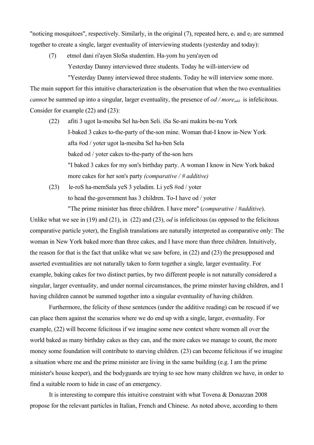"noticing mosquitoes", respectively. Similarly, in the original  $(7)$ , repeated here,  $e_1$  and  $e_2$  are summed together to create a single, larger eventuality of interviewing students (yesterday and today):

(7) etmol dani ri'ayen SloSa studentim. Ha-yom hu yera'ayen od Yesterday Danny interviewed three students. Today he will-interview od "Yesterday Danny interviewed three students. Today he will interview some more.

The main support for this intuitive characterization is the observation that when the two eventualities *cannot* be summed up into a singular, larger eventuality, the presence of *od / moreadd* is infelicitous. Consider for example (22) and (23):

- (22) afiti 3 ugot la-mesiba Sel ha-ben Seli. iSa Se-ani makira be-nu York I-baked 3 cakes to-the-party of the-son mine. Woman that-I know in-New York afta #od / yoter ugot la-mesiba Sel ha-ben Sela baked od / yoter cakes to-the-party of the-son hers "I baked 3 cakes for my son's birthday party. A woman I know in New York baked more cakes for her son's party *(comparative / # additive)*
- (23) le-roS ha-memSala yeS 3 yeladim. Li yeS #od / yoter to head the-government has 3 children. To-I have od / yoter "The prime minister has three children. I have more" (*comparative* / #*additive*).

Unlike what we see in (19) and (21), in (22) and (23), *od* is infelicitous (as opposed to the felicitous comparative particle yoter), the English translations are naturally interpreted as comparative only: The woman in New York baked more than three cakes, and I have more than three children. Intuitively, the reason for that is the fact that unlike what we saw before, in (22) and (23) the presupposed and asserted eventualities are not naturally taken to form together a single, larger eventuality. For example, baking cakes for two distinct parties, by two different people is not naturally considered a singular, larger eventuality, and under normal circumstances, the prime minster having children, and I having children cannot be summed together into a singular eventuality of having children.

Furthermore, the felicity of these sentences (under the additive reading) can be rescued if we can place them against the scenarios where we do end up with a single, larger, eventuality. For example, (22) will become felicitous if we imagine some new context where women all over the world baked as many birthday cakes as they can, and the more cakes we manage to count, the more money some foundation will contribute to starving children. (23) can become felicitous if we imagine a situation where me and the prime minister are living in the same building (e.g. I am the prime minister's house keeper), and the bodyguards are trying to see how many children we have, in order to find a suitable room to hide in case of an emergency.

It is interesting to compare this intuitive constraint with what Tovena & Donazzan 2008 propose for the relevant particles in Italian, French and Chinese. As noted above, according to them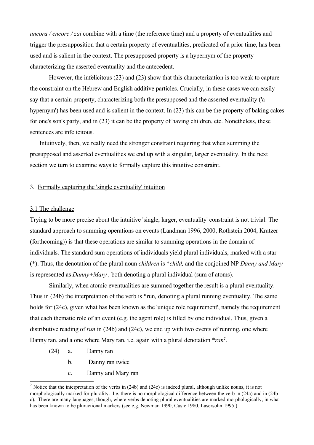*ancora / encore / zai* combine with a time (the reference time) and a property of eventualities and trigger the presupposition that a certain property of eventualities, predicated of a prior time, has been used and is salient in the context. The presupposed property is a hypernym of the property characterizing the asserted eventuality and the antecedent.

However, the infelicitous (23) and (23) show that this characterization is too weak to capture the constraint on the Hebrew and English additive particles. Crucially, in these cases we can easily say that a certain property, characterizing both the presupposed and the asserted eventuality ('a hypernym') has been used and is salient in the context. In (23) this can be the property of baking cakes for one's son's party, and in (23) it can be the property of having children, etc. Nonetheless, these sentences are infelicitous.

Intuitively, then, we really need the stronger constraint requiring that when summing the presupposed and asserted eventualities we end up with a singular, larger eventuality. In the next section we turn to examine ways to formally capture this intuitive constraint.

#### 3. Formally capturing the 'single eventuality' intuition

## 3.1 The challenge

Trying to be more precise about the intuitive 'single, larger, eventuality' constraint is not trivial. The standard approach to summing operations on events (Landman 1996, 2000, Rothstein 2004, Kratzer (forthcoming)) is that these operations are similar to summing operations in the domain of individuals. The standard sum operations of individuals yield plural individuals, marked with a star (\*). Thus, the denotation of the plural noun *children* is \**child,* and the conjoined NP *Danny and Mary* is represented as *Danny+Mary ,* both denoting a plural individual (sum of atoms).

Similarly, when atomic eventualities are summed together the result is a plural eventuality. Thus in (24b) the interpretation of the verb is \*run*,* denoting a plural running eventuality. The same holds for (24c), given what has been known as the 'unique role requirement', namely the requirement that each thematic role of an event (e.g. the agent role) is filled by one individual. Thus, given a distributive reading of *run* in (24b) and (24c), we end up with two events of running, one where Danny ran, and a one where Mary ran, i.e. again with a plural denotation \**ran[2](#page-7-0)* .

- (24) a. Danny ran
	- b. Danny ran twice
	- c. Danny and Mary ran

<span id="page-7-0"></span><sup>&</sup>lt;sup>2</sup> Notice that the interpretation of the verbs in (24b) and (24c) is indeed plural, although unlike nouns, it is not morphologically marked for plurality. I.e. there is no morphological difference between the verb in (24a) and in (24bc). There are many languages, though, where verbs denoting plural eventualities are marked morphologically, in what has been known to be pluractional markers (see e.g. Newman 1990, Cusic 1980, Lasersohn 1995.)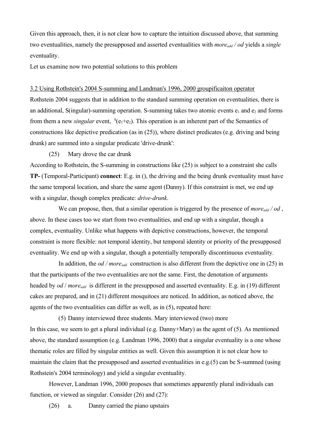Given this approach, then, it is not clear how to capture the intuition discussed above, that summing two eventualities, namely the presupposed and asserted eventualities with *moreadd / od* yields a *single* eventuality.

Let us examine now two potential solutions to this problem

#### 3.2 Using Rothstein's 2004 S-summing and Landman's 1996, 2000 groupificaiton operator

Rothstein 2004 suggests that in addition to the standard summing operation on eventualities, there is an additional, S(ingular)-summing operation. S-summing takes two atomic events  $e_1$  and  $e_2$  and forms from them a new *singular* event,  ${}^s(e_1 + e_2)$ . This operation is an inherent part of the Semantics of constructions like depictive predication (as in (25)), where distinct predicates (e.g. driving and being drunk) are summed into a singular predicate 'drive-drunk':

(25) Mary drove the car drunk

According to Rothstein, the S-summing in constructions like (25) is subject to a constraint she calls **TP-** (Temporal-Participant) **connect**: E.g. in (), the driving and the being drunk eventuality must have the same temporal location, and share the same agent (Danny). If this constraint is met, we end up with a singular, though complex predicate: *drive-drunk*.

We can propose, then, that a similar operation is triggered by the presence of *more*<sub>add</sub> / od, above. In these cases too we start from two eventualities, and end up with a singular, though a complex, eventuality. Unlike what happens with depictive constructions, however, the temporal constraint is more flexible: not temporal identity, but temporal identity or priority of the presupposed eventuality. We end up with a singular, though a potentially temporally discontinuous eventuality.

In addition, the *od / more*<sub>*add*</sub> construction is also different from the depictive one in (25) in that the participants of the two eventualities are not the same. First, the denotation of arguments headed by *od* / *moreadd* is different in the presupposed and asserted eventuality. E.g. in (19) different cakes are prepared, and in (21) different mosquitoes are noticed. In addition, as noticed above, the agents of the two eventualities can differ as well, as in (5), repeated here:

(5) Danny interviewed three students. Mary interviewed (two) more In this case, we seem to get a plural individual (e.g. Danny+Mary) as the agent of (5). As mentioned above, the standard assumption (e.g. Landman 1996, 2000) that a singular eventuality is a one whose thematic roles are filled by singular entities as well. Given this assumption it is not clear how to maintain the claim that the presupposed and asserted eventualities in e.g.(5) can be S-summed (using Rothstein's 2004 terminology) and yield a singular eventuality.

However, Landman 1996, 2000 proposes that sometimes apparently plural individuals can function, or viewed as singular. Consider (26) and (27):

(26) a. Danny carried the piano upstairs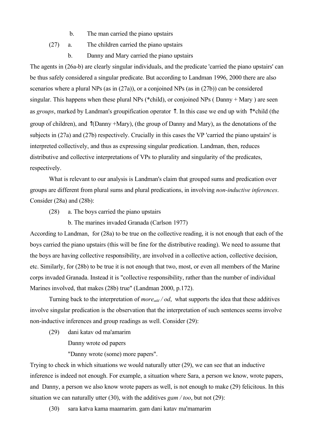- b. The man carried the piano upstairs
- (27) a. The children carried the piano upstairs
	- b. Danny and Mary carried the piano upstairs

The agents in (26a-b) are clearly singular individuals, and the predicate 'carried the piano upstairs' can be thus safely considered a singular predicate. But according to Landman 1996, 2000 there are also scenarios where a plural NPs (as in (27a)), or a conjoined NPs (as in (27b)) can be considered singular. This happens when these plural NPs (\*child), or conjoined NPs ( Danny + Mary ) are seen as *groups*, marked by Landman's groupification operator ↑. In this case we end up with ↑\*child (the group of children), and ↑(Danny +Mary), (the group of Danny and Mary), as the denotations of the subjects in (27a) and (27b) respectively. Crucially in this cases the VP 'carried the piano upstairs' is interpreted collectively, and thus as expressing singular predication. Landman, then, reduces distributive and collective interpretations of VPs to plurality and singularity of the predicates, respectively.

What is relevant to our analysis is Landman's claim that grouped sums and predication over groups are different from plural sums and plural predications, in involving *non-inductive inferences*. Consider (28a) and (28b):

- (28) a. The boys carried the piano upstairs
	- b. The marines invaded Granada (Carlson 1977)

According to Landman, for (28a) to be true on the collective reading, it is not enough that each of the boys carried the piano upstairs (this will be fine for the distributive reading). We need to assume that the boys are having collective responsibility, are involved in a collective action, collective decision, etc. Similarly, for (28b) to be true it is not enough that two, most, or even all members of the Marine corps invaded Granada. Instead it is "collective responsibility, rather than the number of individual Marines involved, that makes (28b) true" (Landman 2000, p.172).

Turning back to the interpretation of *moreadd / od*, what supports the idea that these additives involve singular predication is the observation that the interpretation of such sentences seems involve non-inductive inferences and group readings as well. Consider (29):

(29) dani katav od ma'amarim

Danny wrote od papers

"Danny wrote (some) more papers".

Trying to check in which situations we would naturally utter (29), we can see that an inductive inference is indeed not enough. For example, a situation where Sara, a person we know, wrote papers, and Danny, a person we also know wrote papers as well, is not enough to make (29) felicitous. In this situation we can naturally utter (30), with the additives *gam / too*, but not (29):

(30) sara katva kama maamarim. gam dani katav ma'mamarim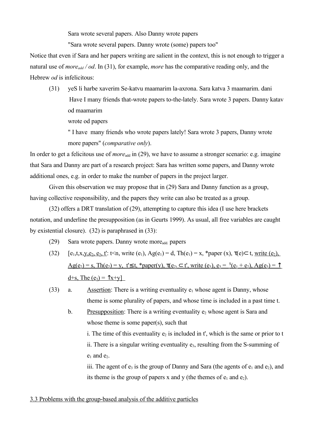Sara wrote several papers. Also Danny wrote papers

"Sara wrote several papers. Danny wrote (some) papers too"

Notice that even if Sara and her papers writing are salient in the context, this is not enough to trigger a natural use of *more*<sub>add</sub> */ od*. In (31), for example, *more* has the comparative reading only, and the Hebrew *od* is infelicitous:

(31) yeS li harbe xaverim Se-katvu maamarim la-axrona. Sara katva 3 maamarim. dani Have I many friends that-wrote papers to-the-lately. Sara wrote 3 papers. Danny katav od maamarim

wrote od papers

" I have many friends who wrote papers lately! Sara wrote 3 papers, Danny wrote more papers" (*comparative only*).

In order to get a felicitous use of *more*<sub>add</sub> in (29), we have to assume a stronger scenario: e.g. imagine that Sara and Danny are part of a research project: Sara has written some papers, and Danny wrote additional ones, e.g. in order to make the number of papers in the project larger.

Given this observation we may propose that in (29) Sara and Danny function as a group, having collective responsibility, and the papers they write can also be treated as a group.

(32) offers a DRT translation of (29), attempting to capture this idea (I use here brackets notation, and underline the presupposition (as in Geurts 1999). As usual, all free variables are caught by existential closure). (32) is paraphrased in (33):

- (29) Sara wrote papers. Danny wrote moreadd. papers
- (32)  $[e_1, t, x, y, e_2, e_3, t]$ :  $t \le n$ , write  $(e_1)$ ,  $Ag(e_1) = d$ ,  $Th(e_1) = x$ , \*paper  $(x)$ ,  $\tau(e) \subset t$ , write  $(e_2)$ ,  $Ag(e_2) = s$ , Th $(e_2) = y$ , t' $\leq t$ , \*paper(y),  $\tau(e_2) \subset t'$ , write  $(e_3)$ ,  $e_3 = {}^S(e_1 + e_2)$ ,  $Ag(e_3) = \uparrow$  $d+s$ , The  $(e_3) = \uparrow x+y$
- (33) a. Assertion: There is a writing eventuality  $e_1$  whose agent is Danny, whose theme is some plurality of papers, and whose time is included in a past time t.
	- b. Presupposition: There is a writing eventuality  $e_2$  whose agent is Sara and whose theme is some paper(s), such that

i. The time of this eventuality  $e_2$  is included in t', which is the same or prior to t ii. There is a singular writing eventuality  $e_3$ , resulting from the S-summing of  $e_1$  and  $e_2$ .

iii. The agent of  $e_3$  is the group of Danny and Sara (the agents of  $e_1$  and  $e_2$ ), and its theme is the group of papers x and y (the themes of  $e_1$  and  $e_2$ ).

#### 3.3 Problems with the group-based analysis of the additive particles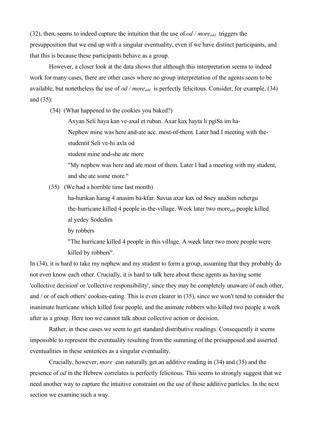(32), then, seems to indeed capture the intuition that the use of *od / moreadd* triggers the presupposition that we end up with a singular eventuality, even if we have distinct participants, and that this is because these participants behave as a group.

However, a closer look at the data shows that although this interpretation seems to indeed work for many cases, there are other cases where no group interpretation of the agents seem to be available, but nonetheless the use of *od / moreadd* is perfectly felicitous. Consider, for example, (34) and (35):

(34) (What happened to the cookies you baked?)

Axyan Seli haya kan ve-axal et ruban. Axar kax hayta li pgiSa im ha-

Nephew mine was here and-ate acc. most-of-them. Later had I meeting with the-

studentit Seli ve-hi axla od

student mine and-she ate more

"My nephew was here and ate most of them. Later I had a meeting with my student, and she ate some more."

(35) (We had a horrible time last month)

ha-hurikan harag 4 anasim ba-kfar. Savua axar kax od Sney anaSim nehergu the-hurricane killed 4 people in-the-village. Week later two more<sub>add</sub> people killed al yedey Sodedim

by robbers

"The hurricane killed 4 people in this village. A week later two more people were killed by robbers".

In (34), it is hard to take my nephew and my student to form a group, assuming that they probably do not even know each other. Crucially, it is hard to talk here about these agents as having some 'collective decision' or 'collective responsibility', since they may be completely unaware of each other, and / or of each others' cookies-eating. This is even clearer in (35), since we won't tend to consider the inanimate hurricane which killed four people, and the animate robbers who killed two people a week after as a group. Here too we cannot talk about collective action or decision.

Rather, in these cases we seem to get standard distributive readings. Consequently it seems impossible to represent the eventuality resulting from the summing of the presupposed and asserted eventualities in these sentences as a singular eventuality.

Crucially, however, *more* can naturally get an additive reading in (34) and (35) and the presence of *od* in the Hebrew correlates is perfectly felicitous. This seems to strongly suggest that we need another way to capture the intuitive constraint on the use of these additive particles. In the next section we examine such a way.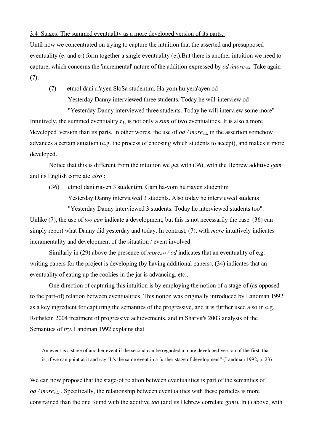3.4 Stages: The summed eventuality as a more developed version of its parts.

Until now we concentrated on trying to capture the intuition that the asserted and presupposed eventuality ( $e_1$  and  $e_2$ ) form together a single eventuality ( $e_3$ ). But there is another intuition we need to capture, which concerns the 'incremental' nature of the addition expressed by *od /moreadd*. Take again  $(7):$ 

(7) etmol dani ri'ayen SloSa studentim. Ha-yom hu yera'ayen od Yesterday Danny interviewed three students. Today he will-interview od

"Yesterday Danny interviewed three students. Today he will interview some more" Intuitively, the summed eventuality  $e_3$ , is not only a *sum* of two eventualities. It is also a more 'developed' version than its parts. In other words, the use of *od / moreadd* in the assertion somehow advances a certain situation (e.g. the process of choosing which students to accept), and makes it more developed.

Notice that this is different from the intuition we get with (36), with the Hebrew additive *gam* and its English correlate *also* :

(36) etmol dani riayen 3 studentim. Gam ha-yom hu riayen studentim Yesterday Danny interviewed 3 students. Also today he interviewed students "Yesterday Danny interviewed 3 students. Today he interviewed students too".

Unlike (7), the use of *too can* indicate a development, but this is not necessarily the case. (36) can simply report what Danny did yesterday and today. In contrast, (7), with *more* intuitively indicates incramentality and development of the situation / event involved.

Similarly in (29) above the presence of *more*<sub>add</sub> / od indicates that an eventuality of e.g. writing papers for the project is developing (by having additional papers), (34) indicates that an eventuality of eating up the cookies in the jar is advancing, etc..

One direction of capturing this intuition is by employing the notion of a stage-of (as opposed to the part-of) relation between eventualities. This notion was originally introduced by Landman 1992 as a key ingredient for capturing the semantics of the progressive, and it is further used also in e.g. Rothstein 2004 treatment of progressive achievements, and in Sharvit's 2003 analysis of the Semantics of *try*. Landman 1992 explains that

An event is a stage of another event if the second can be regarded a more developed version of the first, that is, if we can point at it and say "It's the same event in a further stage of development" (Landman 1992, p. 23)

We can now propose that the stage-of relation between eventualities is part of the semantics of *od / moreadd* . Specifically, the relationship between eventualities with these particles is more constrained than the one found with the additive *too* (and its Hebrew correlate *gam*). In () above, with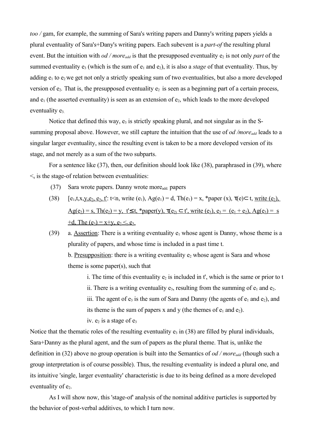*too /* gam, for example, the summing of Sara's writing papers and Danny's writing papers yields a plural eventuality of Sara's+Dany's writing papers. Each subevent is a *part-of* the resulting plural event. But the intuition with *od / more*<sub>*add*</sub> is that the presupposed eventuality  $e_2$  is not only *part* of the summed eventuality  $e_3$  (which is the sum of  $e_1$  and  $e_2$ ), it is also a *stage* of that eventuality. Thus, by adding  $e_1$  to  $e_2$  we get not only a strictly speaking sum of two eventualities, but also a more developed version of  $e_2$ . That is, the presupposed eventuality  $e_2$  is seen as a beginning part of a certain process, and  $e_1$  (the asserted eventuality) is seen as an extension of  $e_2$ , which leads to the more developed eventuality e<sub>3.</sub>

Notice that defined this way,  $e_3$  is strictly speaking plural, and not singular as in the Ssumming proposal above. However, we still capture the intuition that the use of *od /moreadd* leads to a singular larger eventuality, since the resulting event is taken to be a more developed version of its stage, and not merely as a sum of the two subparts.

For a sentence like (37), then, our definition should look like (38), paraphrased in (39), where  $\leq$  is the stage-of relation between eventualities:

- (37) Sara wrote papers. Danny wrote moreadd. papers
- (38)  $[e_1, t, x, y, e_2, e_3, t]$ : t<n, write  $(e_1)$ ,  $Ag(e_1) = d$ ,  $Th(e_1) = x$ , \*paper  $(x)$ ,  $\tau(e) \subset t$ , write  $(e_2)$ ,  $Ag(e_2) = s$ ,  $Th(e_2) = v$ ,  $t \le t$ , \*paper(y),  $\tau(e_2) \subset t'$ , write (e<sub>3</sub>),  $e_3 = (e_1 + e_2)$ ,  $Ag(e_3) = s$  $+d$ , The (e<sub>3</sub>) = x+y, e<sub>2</sub>  $\leq$ <sub>s</sub> e<sub>3</sub>

(39) a. Assertion: There is a writing eventuality  $e_1$  whose agent is Danny, whose theme is a plurality of papers, and whose time is included in a past time t. b. Presupposition: there is a writing eventuality  $e_2$  whose agent is Sara and whose theme is some paper(s), such that

> i. The time of this eventuality  $e_2$  is included in t', which is the same or prior to t ii. There is a writing eventuality  $e_3$ , resulting from the summing of  $e_1$  and  $e_2$ . iii. The agent of  $e_3$  is the sum of Sara and Danny (the agents of  $e_1$  and  $e_2$ ), and its theme is the sum of papers x and y (the themes of  $e_1$  and  $e_2$ ). iv.  $e_2$  is a stage of  $e_3$

Notice that the thematic roles of the resulting eventuality  $e_3$  in (38) are filled by plural individuals, Sara+Danny as the plural agent, and the sum of papers as the plural theme. That is, unlike the definition in (32) above no group operation is built into the Semantics of *od / moreadd* (though such a group interpretation is of course possible). Thus, the resulting eventuality is indeed a plural one, and its intuitive 'single, larger eventuality' characteristic is due to its being defined as a more developed eventuality of  $e_2$ .

As I will show now, this 'stage-of' analysis of the nominal additive particles is supported by the behavior of post-verbal additives, to which I turn now.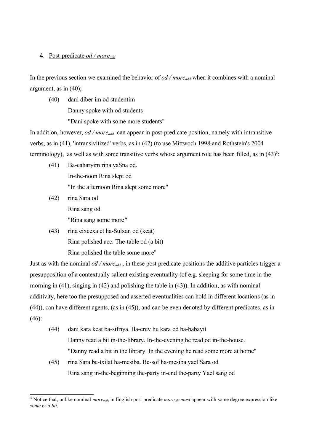# 4. Post-predicate *od / moreadd*

In the previous section we examined the behavior of *od / more*<sub>*add*</sub> when it combines with a nominal argument, as in (40);

(40) dani diber im od studentim Danny spoke with od students "Dani spoke with some more students"

In addition, however, *od / more<sub>add</sub>* can appear in post-predicate position, namely with intransitive verbs, as in (41), 'intransivitized' verbs, as in (42) (to use Mittwoch 1998 and Rothstein's 2004 terminology), as well as with some transitive verbs whose argument role has been filled, as in  $(43)^3$  $(43)^3$  $(43)^3$ :

- (41) Ba-caharyim rina yaSna od. In-the-noon Rina slept od "In the afternoon Rina slept some more"
- (42) rina Sara od Rina sang od "Rina sang some more*"*
- (43) rina cixcexa et ha-Sulxan od (kcat) Rina polished acc. The-table od (a bit) Rina polished the table some more"

Just as with the nominal *od / moreadd* , in these post predicate positions the additive particles trigger a presupposition of a contextually salient existing eventuality (of e.g. sleeping for some time in the morning in (41), singing in (42) and polishing the table in (43)). In addition, as with nominal additivity, here too the presupposed and asserted eventualities can hold in different locations (as in (44)), can have different agents, (as in (45)), and can be even denoted by different predicates, as in (46):

- (44) dani kara kcat ba-sifriya. Ba-erev hu kara od ba-babayit Danny read a bit in-the-library. In-the-evening he read od in-the-house. "Danny read a bit in the library. In the evening he read some more at home"
- (45) rina Sara be-txilat ha-mesiba. Be-sof ha-mesiba yael Sara od Rina sang in-the-beginning the-party in-end the-party Yael sang od

<span id="page-14-0"></span><sup>&</sup>lt;sup>3</sup> Notice that, unlike nominal *more*<sub>add</sub>, in English post predicate *more*<sub>add</sub> must appear with some degree expression like *some* or *a bit*.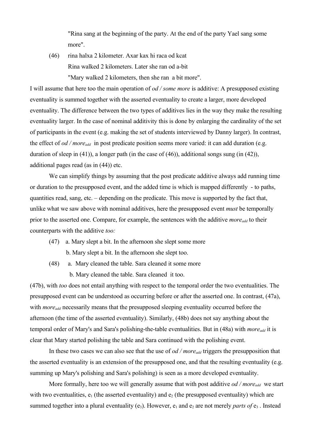"Rina sang at the beginning of the party. At the end of the party Yael sang some more".

(46) rina halxa 2 kilometer. Axar kax hi raca od kcat Rina walked 2 kilometers. Later she ran od a-bit "Mary walked 2 kilometers, then she ran a bit more".

I will assume that here too the main operation of *od / some more* is additive: A presupposed existing eventuality is summed together with the asserted eventuality to create a larger, more developed eventuality. The difference between the two types of additives lies in the way they make the resulting eventuality larger. In the case of nominal additivity this is done by enlarging the cardinality of the set of participants in the event (e.g. making the set of students interviewed by Danny larger). In contrast, the effect of *od / moreadd* in post predicate position seems more varied: it can add duration (e.g. duration of sleep in (41)), a longer path (in the case of (46)), additional songs sung (in (42)), additional pages read (as in (44)) etc.

We can simplify things by assuming that the post predicate additive always add running time or duration to the presupposed event, and the added time is which is mapped differently - to paths, quantities read, sang, etc. – depending on the predicate. This move is supported by the fact that, unlike what we saw above with nominal additives, here the presupposed event *must* be temporally prior to the asserted one. Compare, for example, the sentences with the additive *moreadd* to their counterparts with the additive *too:* 

- (47) a. Mary slept a bit. In the afternoon she slept some more b. Mary slept a bit. In the afternoon she slept too.
- (48) a. Mary cleaned the table. Sara cleaned it some more

b. Mary cleaned the table. Sara cleaned it too.

(47b), with *too* does not entail anything with respect to the temporal order the two eventualities. The presupposed event can be understood as occurring before or after the asserted one. In contrast, (47a), with *more*<sub>add</sub> necessarily means that the presupposed sleeping eventuality occurred before the afternoon (the time of the asserted eventuality). Similarly, (48b) does not say anything about the temporal order of Mary's and Sara's polishing-the-table eventualities. But in (48a) with *moreadd* it is clear that Mary started polishing the table and Sara continued with the polishing event.

In these two cases we can also see that the use of *od / more<sub>add</sub>* triggers the presupposition that the asserted eventuality is an extension of the presupposed one, and that the resulting eventuality (e.g. summing up Mary's polishing and Sara's polishing) is seen as a more developed eventuality.

More formally, here too we will generally assume that with post additive *od / more*<sub>add</sub> we start with two eventualities,  $e_1$  (the asserted eventuality) and  $e_2$  (the presupposed eventuality) which are summed together into a plural eventuality (e<sub>3</sub>). However, e<sub>1</sub> and e<sub>2</sub> are not merely *parts of* e<sub>3</sub>. Instead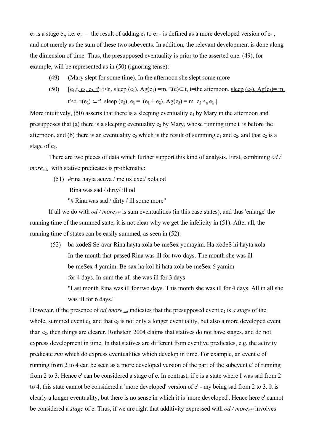$e_2$  is a stage  $e_3$ , i.e.  $e_3$  – the result of adding  $e_1$  to  $e_2$  - is defined as a more developed version of  $e_2$ , and not merely as the sum of these two subevents. In addition, the relevant development is done along the dimension of time. Thus, the presupposed eventuality is prior to the asserted one. (49), for example, will be represented as in (50) (ignoring tense):

- (49) (Mary slept for some time). In the afternoon she slept some more
- (50)  $[e_1, t, e_2, e_3, t]$ : t<n, sleep  $(e_1)$ ,  $Ag(e_1) = m$ ,  $\tau(e) \subset t$ , t=the afternoon, sleep  $(e_2)$ ,  $Ag(e_2) = m$  $t' \le t$ ,  $\tau(e_2) \subset t'$ , sleep (e<sub>3</sub>),  $e_3 = (e_1 + e_2)$ ,  $Ag(e_3) = m \cdot e_2 \le s e_3$

More intuitively, (50) asserts that there is a sleeping eventuality  $e_1$  by Mary in the afternoon and presupposes that (a) there is a sleeping eventuality  $e_2$  by Mary, whose running time t' is before the afternoon, and (b) there is an eventuality  $e_3$  which is the result of summing  $e_1$  and  $e_2$ , and that  $e_2$  is a stage of  $e_3$ .

There are two pieces of data which further support this kind of analysis. First, combining *od / moreadd* with stative predicates is problematic:

 (51) #rina hayta acuva / meluxlexet/ xola od Rina was sad / dirty/ ill od "# Rina was sad / dirty / ill some more"

If all we do with *od / more*<sub>add</sub> is sum eventualities (in this case states), and thus 'enlarge' the running time of the summed state, it is not clear why we get the infelicity in (51). After all, the running time of states can be easily summed, as seen in (52):

 (52) ba-xodeS Se-avar Rina hayta xola be-meSex yomayim. Ha-xodeS hi hayta xola In-the-month that-passed Rina was ill for two-days. The month she was ill be-meSex 4 yamim. Be-sax ha-kol hi hata xola be-meSex 6 yamim for 4 days. In-sum the-all she was ill for 3 days "Last month Rina was ill for two days. This month she was ill for 4 days. All in all she

was ill for 6 days."

However, if the presence of *od /more<sub>add</sub>* indicates that the presupposed event e<sub>2</sub> is *a stage* of the whole, summed event  $e_3$  and that  $e_3$  is not only a longer eventuality, but also a more developed event than e2, then things are clearer. Rothstein 2004 claims that statives do not have stages, and do not express development in time. In that statives are different from eventive predicates, e.g. the activity predicate *run* which do express eventualities which develop in time. For example, an event e of running from 2 to 4 can be seen as a more developed version of the part of the subevent e' of running from 2 to 3. Hence e' can be considered a stage of e. In contrast, if e is a state where I was sad from 2 to 4, this state cannot be considered a 'more developed' version of e' - my being sad from 2 to 3. It is clearly a longer eventuality, but there is no sense in which it is 'more developed'. Hence here e' cannot be considered a *stage* of e. Thus, if we are right that additivity expressed with *od / moreadd* involves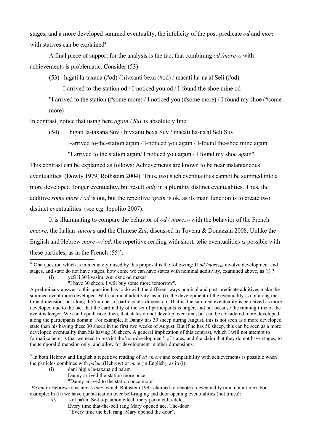stages, and a more developed summed eventuality, the infelicity of the post-predicate *od* and *more* with statives can be explained<sup>[4](#page-17-0)</sup>.

A final piece of support for the analysis is the fact that combining *od /moreadd* with achievements is problematic. Consider (53):

(53) higati la-taxana (#od) / hivxanti bexa (#od) / macati ha-na'al Seli (#od)

I-arrived to-the-station od / I-noticed you od / I-found the-shoe mine od

"I arrived to the station (#some more) / I noticed you (#some more) / I found my shoe (#some more)

In contrast, notice that using here *again* / *Suv* is absolutely fine:

(54) higati la-taxana Suv / hivxanti bexa Suv / macati ha-na'al Seli Suv I-arrived to-the-station again / I-noticed you again / I-found the-shoe mine again "I arrived to the station again/ I noticed you again / I found my shoe again"

This contrast can be explained as follows: Achievements are known to be near instantaneous eventualities (Dowty 1979, Rothstein 2004). Thus, two such eventualities cannot be summed into a more developed longer eventuality, but result *only* in a plurality distinct eventualities. Thus, the additive *some more / od* is out, but the repetitive *again* is ok, as its main function is to create two distinct eventualities (see e.g. Ippolito 2007).

It is illuminating to compare the behavior of *od / more<sub>add</sub>* with the behavior of the French *encore*, the Italian *ancora* and the Chinese *Zai*, discussed in Tovena & Donazzan 2008. Unlike the English and Hebrew *more<sub>add</sub> / od*, the repetitive reading with short, telic eventualities *is* possible with these particles, as in the French  $(55)^5$  $(55)^5$  $(55)^5$ :

<span id="page-17-0"></span><sup>4</sup> One question which is immediately raised by this proposal is the following: If *od /moreadd.* involve development and stages, and state do not have stages, how come we can have states with nominal additivity, examined above, as (i) ?

(i) yeS li 30 kvasim. Ani ekne od maxar

<span id="page-17-1"></span><sup>5</sup> In both Hebrew and English a repetitive reading of *od / more* and compatibility with achievements is possible when the particles combines with *pa'am* (Hebrew) or *once* (in English), as in (i):

- (i) dani higi'a la-taxana od pa'am
	- Danny arrived the-station more once
	- "Danny arrived to the station once more"

 *Pa'am* in Hebrew translate as *time*, which Rothstein 1995 claimed to denote an eventuality (and not a time). For example: In (ii) we have quantification over bell-ringing and door opening eventualities (not times):

- *(ii)* kol pa'am Se-ha-paamon cilcel, mery patxa et ha-delet
	- Every time that-the-bell rang Mary opened acc. The-door
	- "Every time the bell rang, Mary opened the door".

<sup>&</sup>quot;I have 30 sheep. I will buy some more tomorrow"*.*

A preliminary answer to this question has to do with the different ways nominal and post-predicate additives make the summed event more developed. With nominal additivity, as in (i), the development of the eventuality is not along the time dimension, but along the 'number of participants' dimension. That is, the summed eventuality is perceived as more developed due to the fact that the cardinality of the set of participants is larger, and not because the running time of the event is longer. We can hypothesize, then, that states do not develop over time, but can be considered more developed along the participants domain. For example, If Danny has 30 sheep during August, this is not seen as a more developed state than his having these 30 sheep in the first two weeks of August. But if he has 50 sheep, this can be seen as a more developed eventuality than his having 30 sheep. A general implication of this contrast, which I will not attempt to formalize here, is that we need to restrict the 'non-development' of states, and the claim that they do not have stages, to the temporal dimension only, and allow for development in other dimensions.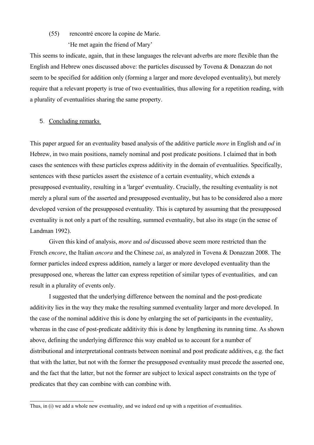## (55) rencontré encore la copine de Marie.

'He met again the friend of Mary'

This seems to indicate, again, that in these languages the relevant adverbs are more flexible than the English and Hebrew ones discussed above: the particles discussed by Tovena & Donazzan do not seem to be specified for addition only (forming a larger and more developed eventuality), but merely require that a relevant property is true of two eventualities, thus allowing for a repetition reading, with a plurality of eventualities sharing the same property.

# 5. Concluding remarks

This paper argued for an eventuality based analysis of the additive particle *more* in English and *od* in Hebrew, in two main positions, namely nominal and post predicate positions. I claimed that in both cases the sentences with these particles express additivity in the domain of eventualities. Specifically, sentences with these particles assert the existence of a certain eventuality, which extends a presupposed eventuality, resulting in a 'larger' eventuality. Crucially, the resulting eventuality is not merely a plural sum of the asserted and presupposed eventuality, but has to be considered also a more developed version of the presupposed eventuality. This is captured by assuming that the presupposed eventuality is not only a part of the resulting, summed eventuality, but also its stage (in the sense of Landman 1992).

Given this kind of analysis, *more* and *od* discussed above seem more restricted than the French *encore*, the Italian *ancora* and the Chinese *zai*, as analyzed in Tovena & Donazzan 2008. The former particles indeed express addition, namely a larger or more developed eventuality than the presupposed one, whereas the latter can express repetition of similar types of eventualities, and can result in a plurality of events only.

I suggested that the underlying difference between the nominal and the post-predicate additivity lies in the way they make the resulting summed eventuality larger and more developed. In the case of the nominal additive this is done by enlarging the set of participants in the eventuality, whereas in the case of post-predicate additivity this is done by lengthening its running time. As shown above, defining the underlying difference this way enabled us to account for a number of distributional and interpretational contrasts between nominal and post predicate additives, e.g. the fact that with the latter, but not with the former the presupposed eventuality must precede the asserted one, and the fact that the latter, but not the former are subject to lexical aspect constraints on the type of predicates that they can combine with can combine with.

Thus, in (i) we add a whole new eventuality, and we indeed end up with a repetition of eventualities.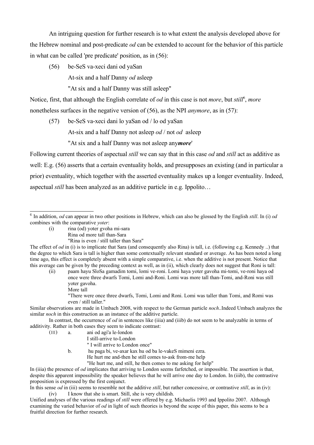An intriguing question for further research is to what extent the analysis developed above for the Hebrew nominal and post-predicate *od* can be extended to account for the behavior of this particle in what can be called 'pre predicate' position, as in (56):

(56) be-SeS va-xeci dani od yaSan

At-six and a half Danny *od* asleep

"At six and a half Danny was still asleep"

Notice, first, that although the English correlate of *od* in this case is not *more*, but *still*[6](#page-19-0) , *more* nonetheless surfaces in the negative version of (56), as the NPI *anymore*, as in (57):

(57) be-SeS va-xeci dani lo yaSan od / lo od yaSan At-six and a half Danny not asleep *od* / not *od* asleep "At six and a half Danny was not asleep any*more*'

Following current theories of aspectual *still* we can say that in this case *od* and *still* act as additive as well: E.g. (56) asserts that a certain eventuality holds, and presupposes an existing (and in particular a prior) eventuality, which together with the asserted eventuality makes up a longer eventuality. Indeed, aspectual *still* has been analyzed as an additive particle in e.g. Ippolito…

- Rina od more tall than-Sara
	- "Rina is even / still taller than Sara"

"There were once three dwarfs, Tomi, Lomi and Roni. Lomi was taller than Tomi, and Romi was even / still taller."

Similar observations are made in Umbach 2008, with respect to the German particle *noch*..Indeed Umbach analyzes the similar *noch* in this construction as an instance of the additive particle.

In contrast, the occurrence of *od* in sentences like (iiia) and (iiib) do not seem to be analyzable in terms of additivity. Rather in both cases they seem to indicate contrast:

- (iii) a. ani od agi'a le-london
	- I still-arrive to-London
	- " I will arrive to London once"

b. hu paga bi, ve-axar kax hu od ba le-vakeS mimeni ezra.

He hurt me and-then he still comes to-ask from-me help

"He hurt me, and still, he then comes to me asking for help"

In (iiia) the presence of *od* implicates that arriving to London seems farfetched, or impossible. The assertion is that, despite this apparent impossibility the speaker believes that he will arrive one day to London. In (iiib), the contrastive proposition is expressed by the first conjunct.

In this sense *od* in (iii) seems to resemble not the additive *still*, but rather concessive, or contrastive *still*, as in (iv): (iv) I know that she is smart. Still, she is very childish.

Unified analyses of the various readings of *still* were offered by e.g. Michaelis 1993 and Ippolito 2007. Although examining the varied behavior of *od* in light of such theories is beyond the scope of this paper, this seems to be a fruitful direction for further research.

<span id="page-19-0"></span><sup>6</sup> In addition, *od* can appear in two other positions in Hebrew, which can also be glossed by the English *still*. In (i) *od* combines with the comparative *yoter*:

<sup>(</sup>i) rina (od) yoter gvoha mi-sara

The effect of *od* in (i) is to implicate that Sara (and consequently also Rina) is tall, i.e. (following e.g. Kennedy ..) that the degree to which Sara is tall is higher than some contextually relevant standard or average. As has been noted a long time ago, this effect is completely absent with a simple comparative, i.e. when the additive is not present. Notice that this average can be given by the preceding context as well, as in (ii), which clearly does not suggest that Roni is tall:

<sup>(</sup>ii) paam hayu SloSa gamadim tomi, lomi ve-roni. Lomi haya yoter gavoha mi-tomi, ve-roni haya od once were three dwarfs Tomi, Lomi and-Roni. Lomi was more tall than-Tomi, and-Roni was still yoter gavoha. More tall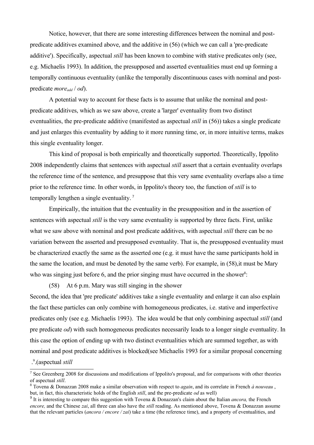Notice, however, that there are some interesting differences between the nominal and postpredicate additives examined above, and the additive in (56) (which we can call a 'pre-predicate additive'). Specifically, aspectual *still* has been known to combine with stative predicates only (see, e.g. Michaelis 1993). In addition, the presupposed and asserted eventualities must end up forming a temporally continuous eventuality (unlike the temporally discontinuous cases with nominal and postpredicate *moreadd* / *od*).

A potential way to account for these facts is to assume that unlike the nominal and postpredicate additives, which as we saw above, create a 'larger' eventuality from two distinct eventualities, the pre-predicate additive (manifested as aspectual *still* in (56)) takes a single predicate and just enlarges this eventuality by adding to it more running time, or, in more intuitive terms, makes this single eventuality longer.

This kind of proposal is both empirically and theoretically supported. Theoretically, Ippolito 2008 independently claims that sentences with aspectual *still* assert that a certain eventuality overlaps the reference time of the sentence, and presuppose that this very same eventuality overlaps also a time prior to the reference time. In other words, in Ippolito's theory too, the function of *still* is to temporally lengthen a single eventuality.<sup>[7](#page-20-0)</sup>

Empirically, the intuition that the eventuality in the presupposition and in the assertion of sentences with aspectual *still* is the very same eventuality is supported by three facts. First, unlike what we saw above with nominal and post predicate additives, with aspectual *still* there can be no variation between the asserted and presupposed eventuality. That is, the presupposed eventuality must be characterized exactly the same as the asserted one (e.g. it must have the same participants hold in the same the location, and must be denoted by the same verb). For example, in (58),it must be Mary who was singing just before  $6$ , and the prior singing must have occurred in the shower<sup>[8](#page-20-1)</sup>:

(58) At 6 p.m. Mary was still singing in the shower

Second, the idea that 'pre predicate' additives take a single eventuality and enlarge it can also explain the fact these particles can only combine with homogeneous predicates, i.e. stative and imperfective predicates only (see e.g. Michaelis 1993). The idea would be that only combining aspectual *still* (and pre predicate *od*) with such homogeneous predicates necessarily leads to a longer single eventuality. In this case the option of ending up with two distinct eventualities which are summed together, as with nominal and post predicate additives is blocked(see Michaelis 1993 for a similar proposal concerning

.(aspectual *still* [9](#page-20-2) .

<span id="page-20-0"></span><sup>&</sup>lt;sup>7</sup> See Greenberg 2008 for discussions and modifications of Ippolito's proposal, and for comparisons with other theories of aspectual *still*.

<span id="page-20-1"></span><sup>8</sup> Tovena & Donazzan 2008 make a similar observation with respect to *again*, and its correlate in French *à nouveau* , but, in fact, this characteristic holds of the English *still*, and the pre-predicate *od* as well)

<span id="page-20-2"></span><sup>9</sup> It is interesting to compare this suggestion with Tovena & Donazzan's claim about the Italian *ancora,* the French *encore,* and the Chinese *zai*, all three can also have the *still* reading. As mentioned above, Tovena & Donazzan assume that the relevant particles (*ancora / encore / zai*) take a time (the reference time), and a property of eventualities, and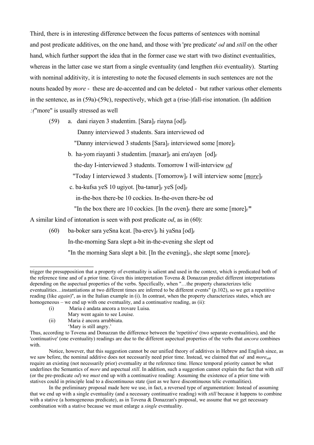Third, there is in interesting difference between the focus patterns of sentences with nominal and post predicate additives, on the one hand, and those with 'pre predicate' *od* and *still* on the other hand, which further support the idea that in the former case we start with two distinct eventualities, whereas in the latter case we start from a single eventuality (and lengthen *this* eventuality). Starting with nominal additivity, it is interesting to note the focused elements in such sentences are not the nouns headed by *more* - these are de-accented and can be deleted - but rather various other elements in the sentence, as in (59a)-(59c), respectively, which get a (rise-)fall-rise intonation. (In addition *:(*"more" is usually stressed as well

- (59) a. dani riayen 3 studentim. [Sara] $_F$  riayna [od] $_F$ 
	- Danny interviewed 3 students. Sara interviewed od
	- "Danny interviewed 3 students  $\lceil \text{Sara} \rceil_F$  interviewed some  $\lceil \text{more} \rceil_F$
	- b. ha-yom riavanti 3 studentim. [maxar]  $\epsilon$  ani era'ayen [od]  $\epsilon$ 
		- the-day I-interviewed 3 students. Tomorrow I will-interview *od*
		- "Today I interviewed 3 students. [Tomorrow]<sub>F</sub> I will interview some  $[more]_F$
	- c. ba-kufsa yeS 10 ugiyot. [ba-tanur] $_F$  yeS  $[od]_F$

in-the-box there-be 10 cockies. In-the-oven there-be od

"In the box there are 10 cockies. [In the oven] $_F$  there are some  $[more]_F$ "

A similar kind of intonation is seen with post predicate *od*, as in (60):

(60) ba-boker sara yeSna kcat. [ba-erev]<sub>F</sub> hi yaSna [od]<sub>F</sub> In-the-morning Sara slept a-bit in-the-evening she slept od "In the morning Sara slept a bit. [In the evening]<sub>F</sub>, she slept some [more]<sub>F</sub>

- (i) Maria è andata ancora a trovare Luisa.
	- Mary went again to see Louise.
- (ii) Maria è ancora arrabbiata.
	- 'Mary is still angry.'

trigger the presupposition that a property of eventuality is salient and used in the context, which is predicated both of the reference time and of a prior time. Given this interpretation Tovena & Donazzan predict different interpretations depending on the aspectual properties of the verbs. Specifically, when "…the property characterizes telic eventualities…instantiations at two different times are inferred to be different events" (p.102), so we get a repetitive reading (like *again*)", as in the Italian example in (i). In contrast, when the property characterizes states, which are homogeneous – we end up with one eventuality, and a continuative reading, as (ii):

Thus, according to Tovena and Donazzan the difference between the 'repetitive' (two separate eventualities), and the 'continuative' (one eventuality) readings are due to the different aspectual properties of the verbs that *ancora* combines with.

Notice, however, that this suggestion cannot be our unified theory of additives in Hebrew and English since, as we saw before, the nominal additive does not necessarily need prior time. Instead, we claimed that *od* and *more*add require an existing (not necessarily prior) eventuality at the reference time. Hence temporal priority cannot be what underlines the Semantics of *more* and aspectual *still*. In addition, such a suggestion cannot explain the fact that with *still* (or the pre-predicate *od*) we *must* end up with a continuative reading: Assuming the existence of a prior time with statives could in principle lead to a discontinuous state (just as we have discontinuous telic eventualities).

In the preliminary proposal made here we use, in fact, a reversed type of argumentation: Instead of assuming that we end up with a single eventuality (and a necessary continuative reading) with *still* because it happens to combine with a stative (a homogeneous predicate), as in Tovena & Donazzan's proposal, we assume that we get necessary combination with a stative because we must enlarge a *single* eventuality.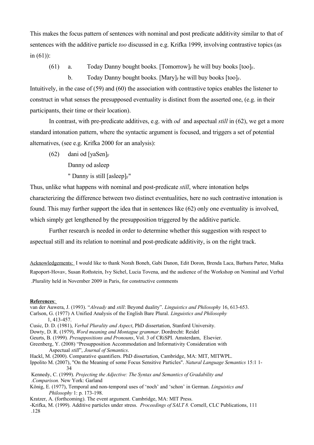This makes the focus pattern of sentences with nominal and post predicate additivity similar to that of sentences with the additive particle *too* discussed in e.g. Krifka 1999, involving contrastive topics (as in  $(61)$ :

(61) a. Today Danny bought books. [Tomorrow]<sub>F</sub> he will buy books  $[too]_F$ .

b. Today Danny bought books. [Mary]<sub>F</sub> he will buy books [too]<sub>F</sub>.

Intuitively, in the case of (59) and (60) the association with contrastive topics enables the listener to construct in what senses the presupposed eventuality is distinct from the asserted one, (e.g. in their participants, their time or their location).

In contrast, with pre-predicate additives, e.g. with *od* and aspectual *still* in (62), we get a more standard intonation pattern, where the syntactic argument is focused, and triggers a set of potential alternatives, (see e.g. Krifka 2000 for an analysis):

- $(62)$  dani od [vaSen]<sub>F</sub>
	- Danny od asleep
	- " Danny is still [asleep] $F''$

Thus, unlike what happens with nominal and post-predicate *still*, where intonation helps characterizing the difference between two distinct eventualities, here no such contrastive intonation is found. This may further support the idea that in sentences like (62) only one eventuality is involved, which simply get lengthened by the presupposition triggered by the additive particle.

Further research is needed in order to determine whether this suggestion with respect to aspectual still and its relation to nominal and post-predicate additivity, is on the right track.

Acknowledgements: I would like to thank Norah Boneh, Gabi Danon, Edit Doron, Brenda Laca, Barbara Partee, Malka Rapoport-Hovav, Susan Rothstein, Ivy Sichel, Lucia Tovena, and the audience of the Workshop on Nominal and Verbal .Plurality held in November 2009 in Paris, for constructive comments

#### **References** :

- van der Auwera, J. (1993). "*Already* and *still*: Beyond duality". *Linguistics and Philosophy* 16, 613-653.
- Carlson, G. (1977) A Unified Analysis of the English Bare Plural. *Linguistics and Philosophy* 1, 413-457.
- Cusic, D. D. (1981), *Verbal Plurality and Aspect*, PhD dissertation, Stanford University.
- Dowty, D. R. (1979), *Word meaning and Montague grammar*. Dordrecht: Reidel
- Geurts, B. (1999)*. Presuppositions and Pronouns*, Vol. 3 of CRiSPI. Amsterdam, Elsevier.
- Greenberg, Y. (2008) "Presupposition Accommodation and Informativity Consideration with Aspectual *still*", *Journal of Semantics*.
- Hackl, M. (2000). Comparative quantifiers. PhD dissertation, Cambridge, MA: MIT, MITWPL.
- Ippolito M. (2007), "On the Meaning of some Focus Sensitive Particles". *Natural Language Semantics* 15:1 1- 34

Kennedy, C. (1999). *Projecting the Adjective: The Syntax and Semantics of Gradability and* .*Comparison.* New York: Garland

- König, E. (1977), Temporal and non-temporal uses of 'noch' and 'schon' in German. *Linguistics and Philosophy* 1: p. 173-198.
- Kratzer, A. (forthcoming). The event argument. Cambridge, MA: MIT Press.

-Krifka, M. (1999). Additive particles under stress. *Proceedings of SALT 8.* Cornell, CLC Publications, 111 .128